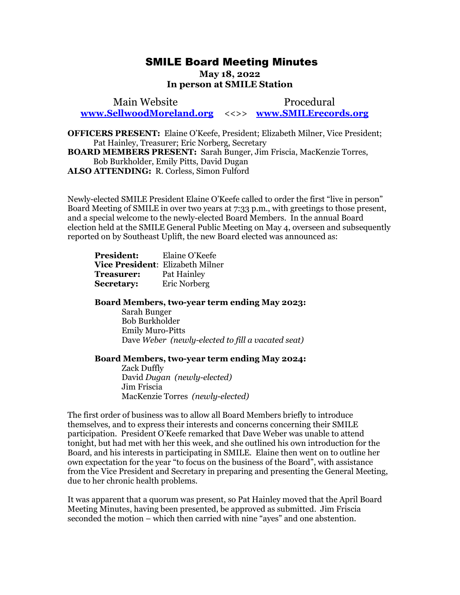## SMILE Board Meeting Minutes SMILE Board Meeting Minutes

## May 18, 2022 **May 18, 2022**  In person at SMILE Station **In person at SMILE Station**

Main Website Procedural Main Website Procedural [www.SellwoodMoreland.org](http://www.sellwoodmoreland.org/) <<>> [www.SMILErecords.org](http://www.smilerecords.org/)  **www.SellwoodMoreland.org** <<>> **www.SMILErecords.org**

OFFICERS PRESENT: Elaine O'Keefe, President; Elizabeth Milner, Vice President; **OFFICERS PRESENT:** Elaine O'Keefe, President; Elizabeth Milner, Vice President; Pat Hainley, Treasurer; Eric Norberg, Secretary Pat Hainley, Treasurer; Eric Norberg, Secretary BOARD MEMBERS PRESENT: Sarah Bunger, Jim Friscia, MacKenzie Torres, **BOARD MEMBERS PRESENT:** Sarah Bunger, Jim Friscia, MacKenzie Torres, Bob Burkholder, Emily Pitts, David Dugan Bob Burkholder, Emily Pitts, David Dugan ALSO ATTENDING: R. Corless, Simon Fulford **ALSO ATTENDING:** R. Corless, Simon Fulford

Newly-elected SMILE President Elaine O'Keefe called to order the first "live in person" Newly-elected SMILE President Elaine O'Keefe called to order the first "live in person" Board Meeting of SMILE in over two years at 7:33 p.m., with greetings to those present, Board Meeting of SMILE in over two years at 7:33 p.m., with greetings to those present, and a special welcome to the newly-elected Board Members. In the annual Board and a special welcome to the newly-elected Board Members. In the annual Board<br>election held at the SMILE General Public Meeting on May 4, overseen and subsequently reported on by Southeast Uplift, the new Board elected was announced as: reported on by Southeast Uplift, the new Board elected was announced as:

| <b>President:</b>                       | Elaine O'Keefe |
|-----------------------------------------|----------------|
| <b>Vice President: Elizabeth Milner</b> |                |
| Treasurer:                              | Pat Hainley    |
| <b>Secretary:</b>                       | Eric Norberg   |

Board Members, two-year term ending May 2023: **Board Members, two-year term ending May 2023:** 

Sarah Bunger Bob Burkholder Sarah Bunger<br>Bob Burkholder<br>Emily Muro-Pitts Dave Weber (newly-elected to fill a vacated seat) Dave *Weber (newly-elected to fill a vacated seat)* 

## Board Members, two-year term ending May 2024: **Board Members, two-year term ending May 2024:**

Zack Duffly David Dugan (newly-elected) Zack Duffly David *Dugan (newly-elected)* Jim Friscia MacKenzie Torres (newly-elected) Jim Friscia MacKenzie Torres *(newly-elected)*

The first order of business was to allow all Board Members briefly to introduce The first order of business was to allow all Board Members briefly to introduce themselves, and to express their interests and concerns concerning their SMILE themselves, and to express their interests and concerns concerning their SMILE<br>participation. President O'Keefe remarked that Dave Weber was unable to attend tonight, but had met with her this week, and she outlined his own introduction for the Board, and his interests in participating in SMILE. Elaine then went on to outline her own expectation for the year "to focus on the business of the Board", with assistance from the Vice President and Secretary in preparing and presenting the General Meeting, from the Vice President and Secretary in preparing and presenting the General Meeting, due to her chronic health problems. tonight, but had met with her this week, and she outlined his own introduction for the<br>Board, and his interests in participating in SMILE. Elaine then went on to outline her<br>own expectation for the year "to focus on the b

It was apparent that a quorum was present, so Pat Hainley moved that the April Board Meeting Minutes, having been presented, be approved as submitted. Jim Friscia seconded the motion — which then carried with nine "ayes" and one abstention. seconded the motion – which then carried with nine "ayes" and one abstention. due to her chronic health problems.<br>It was apparent that a quorum was present, so Pat Hainley moved that the April Board<br>Meeting Minutes, having been presented, be approved as submitted. Jim Friscia